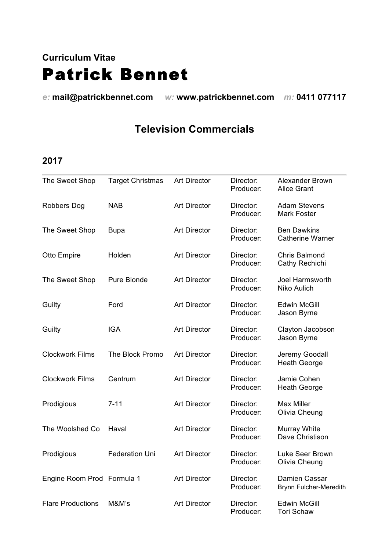# **Curriculum Vitae** Patrick Bennet

*e:* **mail@patrickbennet.com** *w:* **www.patrickbennet.com** *m:* **0411 077117** 

# **Television Commercials**

| The Sweet Shop             | <b>Target Christmas</b> | <b>Art Director</b> | Director:<br>Producer: | Alexander Brown<br><b>Alice Grant</b>         |
|----------------------------|-------------------------|---------------------|------------------------|-----------------------------------------------|
| <b>Robbers Dog</b>         | <b>NAB</b>              | <b>Art Director</b> | Director:<br>Producer: | <b>Adam Stevens</b><br><b>Mark Foster</b>     |
| The Sweet Shop             | <b>Bupa</b>             | <b>Art Director</b> | Director:<br>Producer: | <b>Ben Dawkins</b><br><b>Catherine Warner</b> |
| Otto Empire                | Holden                  | <b>Art Director</b> | Director:<br>Producer: | <b>Chris Balmond</b><br>Cathy Rechichi        |
| The Sweet Shop             | Pure Blonde             | <b>Art Director</b> | Director:<br>Producer: | <b>Joel Harmsworth</b><br>Niko Aulich         |
| Guilty                     | Ford                    | <b>Art Director</b> | Director:<br>Producer: | <b>Edwin McGill</b><br>Jason Byrne            |
| Guilty                     | <b>IGA</b>              | <b>Art Director</b> | Director:<br>Producer: | Clayton Jacobson<br>Jason Byrne               |
| <b>Clockwork Films</b>     | The Block Promo         | <b>Art Director</b> | Director:<br>Producer: | Jeremy Goodall<br><b>Heath George</b>         |
| <b>Clockwork Films</b>     | Centrum                 | <b>Art Director</b> | Director:<br>Producer: | Jamie Cohen<br><b>Heath George</b>            |
| Prodigious                 | $7 - 11$                | <b>Art Director</b> | Director:<br>Producer: | <b>Max Miller</b><br>Olivia Cheung            |
| The Woolshed Co            | Haval                   | <b>Art Director</b> | Director:<br>Producer: | Murray White<br>Dave Christison               |
| Prodigious                 | <b>Federation Uni</b>   | <b>Art Director</b> | Director:<br>Producer: | Luke Seer Brown<br>Olivia Cheung              |
| Engine Room Prod Formula 1 |                         | <b>Art Director</b> | Director:<br>Producer: | Damien Cassar<br>Brynn Fulcher-Meredith       |
| <b>Flare Productions</b>   | M&M's                   | <b>Art Director</b> | Director:<br>Producer: | <b>Edwin McGill</b><br><b>Tori Schaw</b>      |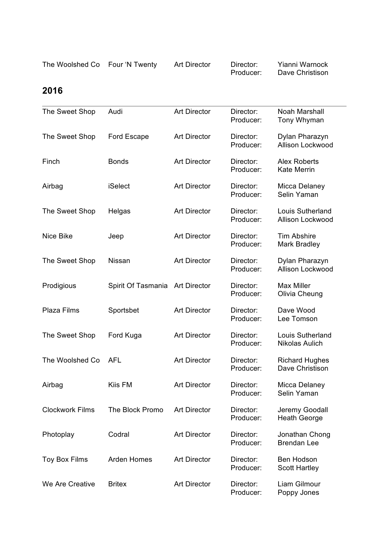The Woolshed Co Four 'N Twenty Art Director Director: Yianni Warnock<br>Producer: Dave Christison Dave Christison

| The Sweet Shop         | Audi               | <b>Art Director</b> | Director:<br>Producer: | Noah Marshall<br>Tony Whyman              |
|------------------------|--------------------|---------------------|------------------------|-------------------------------------------|
| The Sweet Shop         | <b>Ford Escape</b> | <b>Art Director</b> | Director:<br>Producer: | Dylan Pharazyn<br>Allison Lockwood        |
| Finch                  | <b>Bonds</b>       | <b>Art Director</b> | Director:<br>Producer: | <b>Alex Roberts</b><br><b>Kate Merrin</b> |
| Airbag                 | <b>iSelect</b>     | <b>Art Director</b> | Director:<br>Producer: | Micca Delaney<br>Selin Yaman              |
| The Sweet Shop         | Helgas             | <b>Art Director</b> | Director:<br>Producer: | Louis Sutherland<br>Allison Lockwood      |
| Nice Bike              | Jeep               | <b>Art Director</b> | Director:<br>Producer: | <b>Tim Abshire</b><br><b>Mark Bradley</b> |
| The Sweet Shop         | Nissan             | <b>Art Director</b> | Director:<br>Producer: | Dylan Pharazyn<br>Allison Lockwood        |
| Prodigious             | Spirit Of Tasmania | <b>Art Director</b> | Director:<br>Producer: | <b>Max Miller</b><br>Olivia Cheung        |
| Plaza Films            | Sportsbet          | <b>Art Director</b> | Director:<br>Producer: | Dave Wood<br>Lee Tomson                   |
| The Sweet Shop         | Ford Kuga          | <b>Art Director</b> | Director:<br>Producer: | Louis Sutherland<br>Nikolas Aulich        |
| The Woolshed Co        | <b>AFL</b>         | <b>Art Director</b> | Director:<br>Producer: | <b>Richard Hughes</b><br>Dave Christison  |
| Airbag                 | Kiis FM            | <b>Art Director</b> | Director:<br>Producer: | Micca Delaney<br>Selin Yaman              |
| <b>Clockwork Films</b> | The Block Promo    | <b>Art Director</b> | Director:<br>Producer: | Jeremy Goodall<br><b>Heath George</b>     |
| Photoplay              | Codral             | <b>Art Director</b> | Director:<br>Producer: | Jonathan Chong<br><b>Brendan Lee</b>      |
| Toy Box Films          | <b>Arden Homes</b> | <b>Art Director</b> | Director:<br>Producer: | <b>Ben Hodson</b><br><b>Scott Hartley</b> |
| We Are Creative        | <b>Britex</b>      | <b>Art Director</b> | Director:<br>Producer: | Liam Gilmour<br>Poppy Jones               |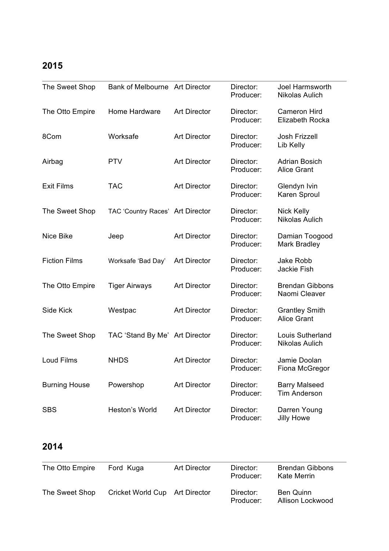| The Sweet Shop       | Bank of Melbourne Art Director   |                     | Director:<br>Producer: | Joel Harmsworth<br>Nikolas Aulich           |
|----------------------|----------------------------------|---------------------|------------------------|---------------------------------------------|
| The Otto Empire      | Home Hardware                    | <b>Art Director</b> | Director:<br>Producer: | Cameron Hird<br>Elizabeth Rocka             |
| 8Com                 | Worksafe                         | <b>Art Director</b> | Director:<br>Producer: | <b>Josh Frizzell</b><br>Lib Kelly           |
| Airbag               | <b>PTV</b>                       | <b>Art Director</b> | Director:<br>Producer: | <b>Adrian Bosich</b><br><b>Alice Grant</b>  |
| <b>Exit Films</b>    | <b>TAC</b>                       | <b>Art Director</b> | Director:<br>Producer: | Glendyn Ivin<br>Karen Sproul                |
| The Sweet Shop       | TAC 'Country Races' Art Director |                     | Director:<br>Producer: | <b>Nick Kelly</b><br>Nikolas Aulich         |
| Nice Bike            | Jeep                             | <b>Art Director</b> | Director:<br>Producer: | Damian Toogood<br><b>Mark Bradley</b>       |
| <b>Fiction Films</b> | Worksafe 'Bad Day'               | <b>Art Director</b> | Director:<br>Producer: | Jake Robb<br>Jackie Fish                    |
| The Otto Empire      | <b>Tiger Airways</b>             | <b>Art Director</b> | Director:<br>Producer: | <b>Brendan Gibbons</b><br>Naomi Cleaver     |
| Side Kick            | Westpac                          | <b>Art Director</b> | Director:<br>Producer: | <b>Grantley Smith</b><br><b>Alice Grant</b> |
| The Sweet Shop       | TAC 'Stand By Me' Art Director   |                     | Director:<br>Producer: | Louis Sutherland<br>Nikolas Aulich          |
| <b>Loud Films</b>    | <b>NHDS</b>                      | <b>Art Director</b> | Director:<br>Producer: | Jamie Doolan<br>Fiona McGregor              |
| <b>Burning House</b> | Powershop                        | <b>Art Director</b> | Director:<br>Producer: | <b>Barry Malseed</b><br><b>Tim Anderson</b> |
| <b>SBS</b>           | Heston's World                   | <b>Art Director</b> | Director:<br>Producer: | Darren Young<br><b>Jilly Howe</b>           |

| The Otto Empire | Ford Kuga                      | Art Director | Director:<br>Producer: | <b>Brendan Gibbons</b><br>Kate Merrin |
|-----------------|--------------------------------|--------------|------------------------|---------------------------------------|
| The Sweet Shop  | Cricket World Cup Art Director |              | Director:<br>Producer: | Ben Quinn<br>Allison Lockwood         |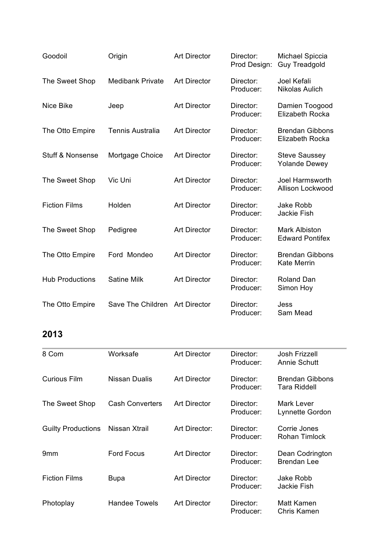| Goodoil                     | Origin                  | <b>Art Director</b> | Director:<br>Prod Design: | <b>Michael Spiccia</b><br><b>Guy Treadgold</b> |
|-----------------------------|-------------------------|---------------------|---------------------------|------------------------------------------------|
| The Sweet Shop              | <b>Medibank Private</b> | <b>Art Director</b> | Director:<br>Producer:    | Joel Kefali<br>Nikolas Aulich                  |
| <b>Nice Bike</b>            | Jeep                    | <b>Art Director</b> | Director:<br>Producer:    | Damien Toogood<br>Elizabeth Rocka              |
| The Otto Empire             | <b>Tennis Australia</b> | <b>Art Director</b> | Director:<br>Producer:    | <b>Brendan Gibbons</b><br>Elizabeth Rocka      |
| <b>Stuff &amp; Nonsense</b> | Mortgage Choice         | <b>Art Director</b> | Director:<br>Producer:    | <b>Steve Saussey</b><br><b>Yolande Dewey</b>   |
| The Sweet Shop              | Vic Uni                 | <b>Art Director</b> | Director:<br>Producer:    | Joel Harmsworth<br>Allison Lockwood            |
| <b>Fiction Films</b>        | Holden                  | <b>Art Director</b> | Director:<br>Producer:    | Jake Robb<br><b>Jackie Fish</b>                |
| The Sweet Shop              | Pedigree                | <b>Art Director</b> | Director:<br>Producer:    | <b>Mark Albiston</b><br><b>Edward Pontifex</b> |
| The Otto Empire             | Ford Mondeo             | <b>Art Director</b> | Director:<br>Producer:    | <b>Brendan Gibbons</b><br><b>Kate Merrin</b>   |
| <b>Hub Productions</b>      | <b>Satine Milk</b>      | <b>Art Director</b> | Director:<br>Producer:    | Roland Dan<br>Simon Hoy                        |
| The Otto Empire             | Save The Children       | <b>Art Director</b> | Director:<br>Producer:    | Jess<br>Sam Mead                               |

| 8 Com                     | Worksafe               | <b>Art Director</b> | Director:<br>Producer: | Josh Frizzell<br><b>Annie Schutt</b>          |
|---------------------------|------------------------|---------------------|------------------------|-----------------------------------------------|
| <b>Curious Film</b>       | Nissan Dualis          | <b>Art Director</b> | Director:<br>Producer: | <b>Brendan Gibbons</b><br><b>Tara Riddell</b> |
| The Sweet Shop            | <b>Cash Converters</b> | <b>Art Director</b> | Director:<br>Producer: | Mark Lever<br>Lynnette Gordon                 |
| <b>Guilty Productions</b> | Nissan Xtrail          | Art Director:       | Director:<br>Producer: | Corrie Jones<br>Rohan Timlock                 |
| 9 <sub>mm</sub>           | <b>Ford Focus</b>      | <b>Art Director</b> | Director:<br>Producer: | Dean Codrington<br><b>Brendan Lee</b>         |
| <b>Fiction Films</b>      | <b>Bupa</b>            | <b>Art Director</b> | Director:<br>Producer: | Jake Robb<br>Jackie Fish                      |
| Photoplay                 | Handee Towels          | <b>Art Director</b> | Director:<br>Producer: | Matt Kamen<br>Chris Kamen                     |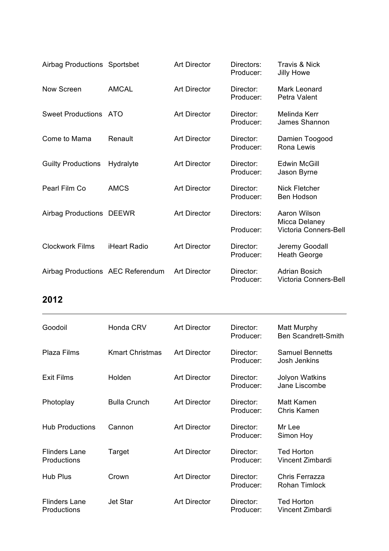| Airbag Productions Sportsbet      |                     | <b>Art Director</b> | Directors:<br>Producer: | <b>Travis &amp; Nick</b><br><b>Jilly Howe</b> |
|-----------------------------------|---------------------|---------------------|-------------------------|-----------------------------------------------|
| <b>Now Screen</b>                 | <b>AMCAL</b>        | <b>Art Director</b> | Director:<br>Producer:  | <b>Mark Leonard</b><br>Petra Valent           |
| <b>Sweet Productions</b>          | ATO                 | <b>Art Director</b> | Director:<br>Producer:  | Melinda Kerr<br>James Shannon                 |
| Come to Mama                      | Renault             | <b>Art Director</b> | Director:<br>Producer:  | Damien Toogood<br>Rona Lewis                  |
| <b>Guilty Productions</b>         | Hydralyte           | <b>Art Director</b> | Director:<br>Producer:  | <b>Edwin McGill</b><br>Jason Byrne            |
| Pearl Film Co                     | <b>AMCS</b>         | <b>Art Director</b> | Director:<br>Producer:  | <b>Nick Fletcher</b><br>Ben Hodson            |
| Airbag Productions DEEWR          |                     | <b>Art Director</b> | Directors:              | Aaron Wilson                                  |
|                                   |                     |                     | Producer:               | Micca Delaney<br>Victoria Conners-Bell        |
| <b>Clockwork Films</b>            | <b>iHeart Radio</b> | <b>Art Director</b> | Director:<br>Producer:  | Jeremy Goodall<br><b>Heath George</b>         |
| Airbag Productions AEC Referendum |                     | <b>Art Director</b> | Director:<br>Producer:  | <b>Adrian Bosich</b><br>Victoria Conners-Bell |

| Goodoil                             | Honda CRV              | <b>Art Director</b> | Director:<br>Producer: | Matt Murphy<br><b>Ben Scandrett-Smith</b>     |
|-------------------------------------|------------------------|---------------------|------------------------|-----------------------------------------------|
| Plaza Films                         | <b>Kmart Christmas</b> | <b>Art Director</b> | Director:<br>Producer: | <b>Samuel Bennetts</b><br><b>Josh Jenkins</b> |
| <b>Exit Films</b>                   | Holden                 | <b>Art Director</b> | Director:<br>Producer: | <b>Jolyon Watkins</b><br>Jane Liscombe        |
| Photoplay                           | <b>Bulla Crunch</b>    | <b>Art Director</b> | Director:<br>Producer: | <b>Matt Kamen</b><br>Chris Kamen              |
| <b>Hub Productions</b>              | Cannon                 | <b>Art Director</b> | Director:<br>Producer: | Mr Lee<br>Simon Hoy                           |
| <b>Flinders Lane</b><br>Productions | Target                 | <b>Art Director</b> | Director:<br>Producer: | <b>Ted Horton</b><br>Vincent Zimbardi         |
| <b>Hub Plus</b>                     | Crown                  | <b>Art Director</b> | Director:<br>Producer: | Chris Ferrazza<br><b>Rohan Timlock</b>        |
| <b>Flinders Lane</b><br>Productions | <b>Jet Star</b>        | <b>Art Director</b> | Director:<br>Producer: | <b>Ted Horton</b><br>Vincent Zimbardi         |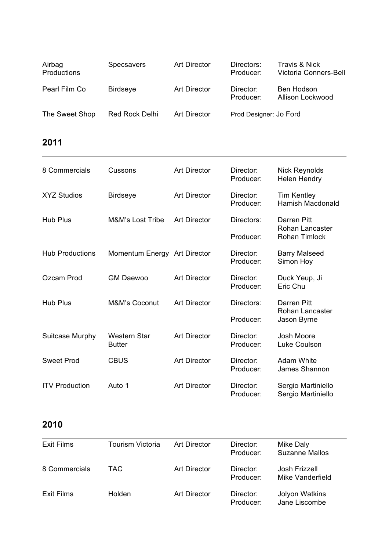| Airbag<br>Productions | Specsavers      | Art Director        | Directors:<br>Producer: | Travis & Nick<br>Victoria Conners-Bell |
|-----------------------|-----------------|---------------------|-------------------------|----------------------------------------|
| Pearl Film Co         | <b>Birdseye</b> | <b>Art Director</b> | Director:<br>Producer:  | Ben Hodson<br>Allison Lockwood         |
| The Sweet Shop        | Red Rock Delhi  | Art Director        | Prod Designer: Jo Ford  |                                        |

| 8 Commercials          | Cussons                       | <b>Art Director</b> | Director:<br>Producer: | <b>Nick Reynolds</b><br><b>Helen Hendry</b>   |
|------------------------|-------------------------------|---------------------|------------------------|-----------------------------------------------|
| <b>XYZ Studios</b>     | <b>Birdseye</b>               | <b>Art Director</b> | Director:<br>Producer: | <b>Tim Kentley</b><br><b>Hamish Macdonald</b> |
| <b>Hub Plus</b>        | <b>M&amp;M's Lost Tribe</b>   | <b>Art Director</b> | Directors:             | Darren Pitt<br>Rohan Lancaster                |
|                        |                               |                     | Producer:              | <b>Rohan Timlock</b>                          |
| <b>Hub Productions</b> | Momentum Energy Art Director  |                     | Director:<br>Producer: | <b>Barry Malseed</b><br>Simon Hoy             |
| Ozcam Prod             | <b>GM Daewoo</b>              | <b>Art Director</b> | Director:<br>Producer: | Duck Yeup, Ji<br>Eric Chu                     |
| <b>Hub Plus</b>        | <b>M&amp;M's Coconut</b>      | <b>Art Director</b> | Directors:             | Darren Pitt<br>Rohan Lancaster                |
|                        |                               |                     | Producer:              | Jason Byrne                                   |
| Suitcase Murphy        | Western Star<br><b>Butter</b> | <b>Art Director</b> | Director:<br>Producer: | Josh Moore<br>Luke Coulson                    |
| <b>Sweet Prod</b>      | <b>CBUS</b>                   | <b>Art Director</b> | Director:<br>Producer: | <b>Adam White</b><br>James Shannon            |
| <b>ITV Production</b>  | Auto 1                        | <b>Art Director</b> | Director:<br>Producer: | Sergio Martiniello<br>Sergio Martiniello      |

| Exit Films    | <b>Tourism Victoria</b> | Art Director | Director:<br>Producer: | Mike Daly<br><b>Suzanne Mallos</b>     |
|---------------|-------------------------|--------------|------------------------|----------------------------------------|
| 8 Commercials | TAC.                    | Art Director | Director:<br>Producer: | Josh Frizzell<br>Mike Vanderfield      |
| Exit Films    | Holden                  | Art Director | Director:<br>Producer: | <b>Jolyon Watkins</b><br>Jane Liscombe |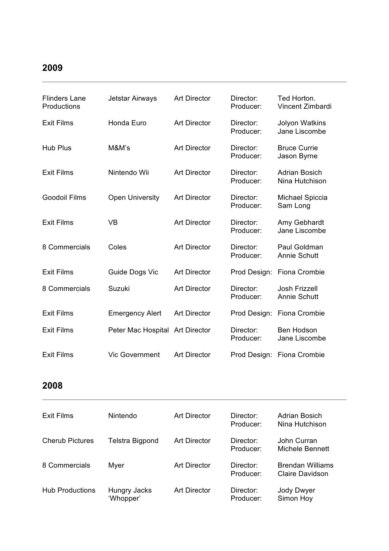ł.

| <b>Flinders Lane</b><br>Productions | Jetstar Airways        | <b>Art Director</b> | Director:<br>Producer: | Ted Horton.<br>Vincent Zimbardi        |
|-------------------------------------|------------------------|---------------------|------------------------|----------------------------------------|
| <b>Exit Films</b>                   | Honda Euro             | <b>Art Director</b> | Director:<br>Producer: | <b>Jolyon Watkins</b><br>Jane Liscombe |
| <b>Hub Plus</b>                     | M&M's                  | <b>Art Director</b> | Director:<br>Producer: | <b>Bruce Currie</b><br>Jason Byrne     |
| <b>Exit Films</b>                   | Nintendo Wii           | <b>Art Director</b> | Director:<br>Producer: | <b>Adrian Bosich</b><br>Nina Hutchison |
| <b>Goodoil Films</b>                | <b>Open University</b> | <b>Art Director</b> | Director:<br>Producer: | <b>Michael Spiccia</b><br>Sam Long     |
| <b>Exit Films</b>                   | <b>VB</b>              | <b>Art Director</b> | Director:<br>Producer: | Amy Gebhardt<br>Jane Liscombe          |
| 8 Commercials                       | Coles                  | <b>Art Director</b> | Director:<br>Producer: | Paul Goldman<br><b>Annie Schutt</b>    |
| <b>Exit Films</b>                   | Guide Dogs Vic         | <b>Art Director</b> | Prod Design:           | Fiona Crombie                          |
| 8 Commercials                       | Suzuki                 | <b>Art Director</b> | Director:<br>Producer: | Josh Frizzell<br><b>Annie Schutt</b>   |
| <b>Exit Films</b>                   | <b>Emergency Alert</b> | <b>Art Director</b> | Prod Design:           | Fiona Crombie                          |
| <b>Exit Films</b>                   | Peter Mac Hospital     | <b>Art Director</b> | Director:<br>Producer: | <b>Ben Hodson</b><br>Jane Liscombe     |
| <b>Exit Films</b>                   | <b>Vic Government</b>  | <b>Art Director</b> | Prod Design:           | <b>Fiona Crombie</b>                   |

| Exit Films             | Nintendo                  | <b>Art Director</b> | Director:<br>Producer: | <b>Adrian Bosich</b><br>Nina Hutchison            |
|------------------------|---------------------------|---------------------|------------------------|---------------------------------------------------|
| <b>Cherub Pictures</b> | Telstra Bigpond           | <b>Art Director</b> | Director:<br>Producer: | John Curran<br>Michele Bennett                    |
| 8 Commercials          | Myer                      | <b>Art Director</b> | Director:<br>Producer: | <b>Brendan Williams</b><br><b>Claire Davidson</b> |
| <b>Hub Productions</b> | Hungry Jacks<br>'Whopper' | <b>Art Director</b> | Director:<br>Producer: | Jody Dwyer<br>Simon Hoy                           |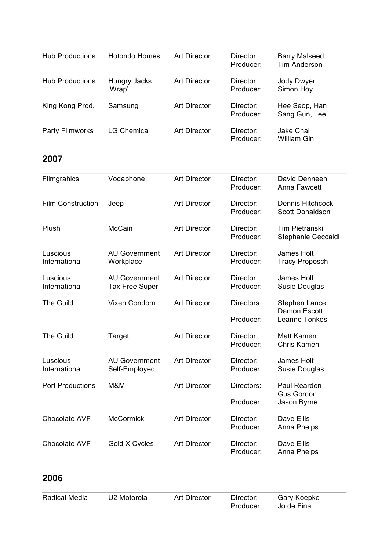| <b>Hub Productions</b> | <b>Hotondo Homes</b>   | <b>Art Director</b> | Director:<br>Producer: | <b>Barry Malseed</b><br>Tim Anderson |
|------------------------|------------------------|---------------------|------------------------|--------------------------------------|
| <b>Hub Productions</b> | Hungry Jacks<br>'Wrap' | <b>Art Director</b> | Director:<br>Producer: | Jody Dwyer<br>Simon Hoy              |
| King Kong Prod.        | Samsung                | <b>Art Director</b> | Director:<br>Producer: | Hee Seop, Han<br>Sang Gun, Lee       |
| <b>Party Filmworks</b> | <b>LG Chemical</b>     | <b>Art Director</b> | Director:<br>Producer: | Jake Chai<br>William Gin             |

| Filmgrahics               | Vodaphone                                     | <b>Art Director</b> | Director:<br>Producer: | David Denneen<br>Anna Fawcett               |
|---------------------------|-----------------------------------------------|---------------------|------------------------|---------------------------------------------|
| <b>Film Construction</b>  | Jeep                                          | <b>Art Director</b> | Director:<br>Producer: | Dennis Hitchcock<br><b>Scott Donaldson</b>  |
| Plush                     | <b>McCain</b>                                 | <b>Art Director</b> | Director:<br>Producer: | <b>Tim Pietranski</b><br>Stephanie Ceccaldi |
| Luscious<br>International | <b>AU Government</b><br>Workplace             | <b>Art Director</b> | Director:<br>Producer: | James Holt<br><b>Tracy Proposch</b>         |
| Luscious<br>International | <b>AU Government</b><br><b>Tax Free Super</b> | <b>Art Director</b> | Director:<br>Producer: | James Holt<br>Susie Douglas                 |
| <b>The Guild</b>          | Vixen Condom                                  | <b>Art Director</b> | Directors:             | <b>Stephen Lance</b>                        |
|                           |                                               |                     | Producer:              | Damon Escott<br>Leanne Tonkes               |
| <b>The Guild</b>          | Target                                        | <b>Art Director</b> | Director:<br>Producer: | Matt Kamen<br>Chris Kamen                   |
| Luscious<br>International | <b>AU Government</b><br>Self-Employed         | <b>Art Director</b> | Director:<br>Producer: | <b>James Holt</b><br>Susie Douglas          |
| <b>Port Productions</b>   | M&M                                           | <b>Art Director</b> | Directors:             | Paul Reardon                                |
|                           |                                               |                     | Producer:              | <b>Gus Gordon</b><br>Jason Byrne            |
| <b>Chocolate AVF</b>      | <b>McCormick</b>                              | <b>Art Director</b> | Director:<br>Producer: | Dave Ellis<br>Anna Phelps                   |
| <b>Chocolate AVF</b>      | Gold X Cycles                                 | <b>Art Director</b> | Director:<br>Producer: | Dave Ellis<br>Anna Phelps                   |

| Radical Media | U2 Motorola | Art Director | Director: | Gary Koepke |
|---------------|-------------|--------------|-----------|-------------|
|               |             |              | Producer: | Jo de Fina  |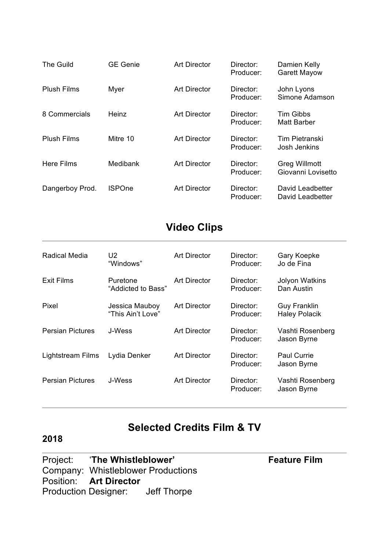| The Guild          | <b>GE Genie</b> | <b>Art Director</b> | Director:<br>Producer: | Damien Kelly<br><b>Garett Mayow</b>        |
|--------------------|-----------------|---------------------|------------------------|--------------------------------------------|
| <b>Plush Films</b> | Myer            | <b>Art Director</b> | Director:<br>Producer: | John Lyons<br>Simone Adamson               |
| 8 Commercials      | <b>Heinz</b>    | <b>Art Director</b> | Director:<br>Producer: | <b>Tim Gibbs</b><br><b>Matt Barber</b>     |
| <b>Plush Films</b> | Mitre 10        | <b>Art Director</b> | Director:<br>Producer: | <b>Tim Pietranski</b><br>Josh Jenkins      |
| Here Films         | Medibank        | <b>Art Director</b> | Director:<br>Producer: | <b>Greg Willmott</b><br>Giovanni Lovisetto |
| Dangerboy Prod.    | <b>ISPOne</b>   | <b>Art Director</b> | Director:<br>Producer: | David Leadbetter<br>David Leadbetter       |

# **Video Clips**

| Radical Media           | U2<br>"Windows"                     | Art Director        | Director:<br>Producer: | Gary Koepke<br>Jo de Fina                   |
|-------------------------|-------------------------------------|---------------------|------------------------|---------------------------------------------|
| Exit Films              | Puretone<br>"Addicted to Bass"      | <b>Art Director</b> | Director:<br>Producer: | <b>Jolyon Watkins</b><br>Dan Austin         |
| Pixel                   | Jessica Mauboy<br>"This Ain't Love" | <b>Art Director</b> | Director:<br>Producer: | <b>Guy Franklin</b><br><b>Haley Polacik</b> |
| <b>Persian Pictures</b> | J-Wess                              | Art Director        | Director:<br>Producer: | Vashti Rosenberg<br>Jason Byrne             |
| Lightstream Films       | Lydia Denker                        | <b>Art Director</b> | Director:<br>Producer: | <b>Paul Currie</b><br>Jason Byrne           |
| <b>Persian Pictures</b> | J-Wess                              | <b>Art Director</b> | Director:<br>Producer: | Vashti Rosenberg<br>Jason Byrne             |

### **Selected Credits Film & TV**

#### **2018**

Project: 'The Whistleblower' **Feature Film** Company: Whistleblower Productions Position: **Art Director**<br>Production Designer: Jeff Thorpe Production Designer: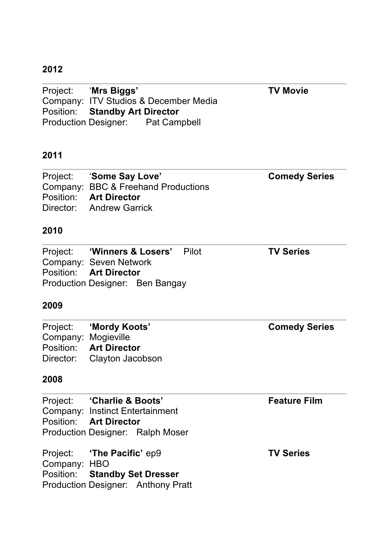Project: '**Mrs Biggs' TV Movie** Company: ITV Studios & December Media Position: **Standby Art Director** Production Designer: Pat Campbell

#### **2011**

| Project: 'Some Say Love'            | <b>Comedy Series</b> |
|-------------------------------------|----------------------|
| Company: BBC & Freehand Productions |                      |
| Position: Art Director              |                      |
| Director: Andrew Garrick            |                      |

### **2010**

|                               | Project: 'Winners & Losers' Pilot | <b>TV Series</b> |  |
|-------------------------------|-----------------------------------|------------------|--|
| Company: Seven Network        |                                   |                  |  |
| Position: <b>Art Director</b> |                                   |                  |  |
|                               | Production Designer: Ben Bangay   |                  |  |

#### **2009**

|                     | Project: 'Mordy Koots'     | <b>Comedy Series</b> |
|---------------------|----------------------------|----------------------|
| Company: Mogieville |                            |                      |
|                     | Position: Art Director     |                      |
|                     | Director: Clayton Jacobson |                      |

|              | Project: 'Charlie & Boots'                | <b>Feature Film</b> |
|--------------|-------------------------------------------|---------------------|
|              | <b>Company: Instinct Entertainment</b>    |                     |
|              | <b>Position:</b> Art Director             |                     |
|              | Production Designer: Ralph Moser          |                     |
|              | Project: 'The Pacific' ep9                | <b>TV Series</b>    |
| Company: HBO |                                           |                     |
|              | <b>Position:</b> Standby Set Dresser      |                     |
|              | <b>Production Designer: Anthony Pratt</b> |                     |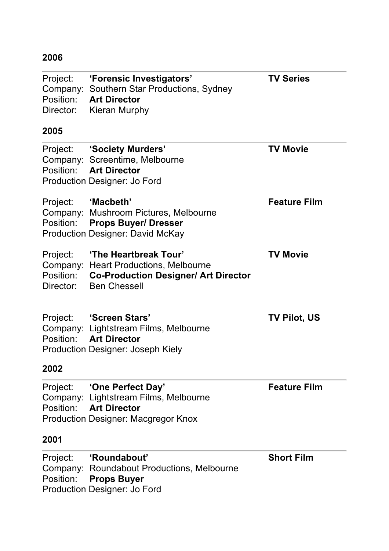| Project:<br>Company:<br>Position:<br>Director: | 'Forensic Investigators'<br>Southern Star Productions, Sydney<br><b>Art Director</b><br><b>Kieran Murphy</b>                         | <b>TV Series</b>    |
|------------------------------------------------|--------------------------------------------------------------------------------------------------------------------------------------|---------------------|
| 2005                                           |                                                                                                                                      |                     |
|                                                | Project: 'Society Murders'<br>Company: Screentime, Melbourne<br>Position: Art Director<br><b>Production Designer: Jo Ford</b>        | <b>TV Movie</b>     |
| Project:                                       | "Macbeth'<br>Company: Mushroom Pictures, Melbourne<br>Position: Props Buyer/ Dresser<br><b>Production Designer: David McKay</b>      | <b>Feature Film</b> |
| Project:<br>Position:<br>Director:             | 'The Heartbreak Tour'<br>Company: Heart Productions, Melbourne<br><b>Co-Production Designer/ Art Director</b><br><b>Ben Chessell</b> | <b>TV Movie</b>     |
| Project:                                       | 'Screen Stars'<br>Company: Lightstream Films, Melbourne<br>Position: Art Director<br><b>Production Designer: Joseph Kiely</b>        | <b>TV Pilot, US</b> |
| 2002                                           |                                                                                                                                      |                     |
| Project:<br>Company:                           | 'One Perfect Day'<br>Lightstream Films, Melbourne<br>Position: Art Director<br><b>Production Designer: Macgregor Knox</b>            | <b>Feature Film</b> |
| 2001                                           |                                                                                                                                      |                     |
| Project:<br>Position:                          | 'Roundabout'<br>Company: Roundabout Productions, Melbourne<br><b>Props Buyer</b><br><b>Production Designer: Jo Ford</b>              | <b>Short Film</b>   |